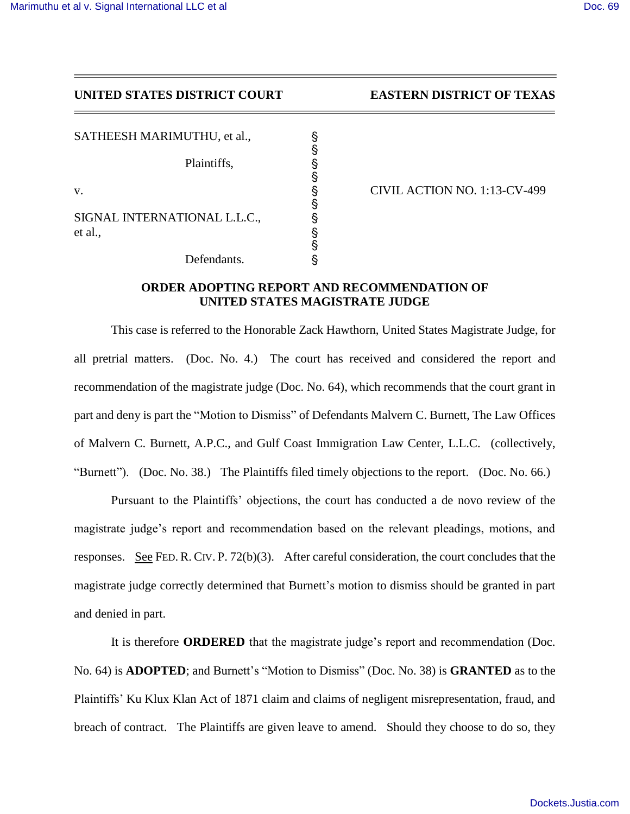## **UNITED STATES DISTRICT COURT EASTERN DISTRICT OF TEXAS**

SATHEESH MARIMUTHU, et al.,

Plaintiffs, '

SIGNAL INTERNATIONAL L.L.C., et al., '

Defendants.  $\&$ 

v.  $\frac{113-CV-499}{9}$ 

## **ORDER ADOPTING REPORT AND RECOMMENDATION OF UNITED STATES MAGISTRATE JUDGE**

§

§

§

§

This case is referred to the Honorable Zack Hawthorn, United States Magistrate Judge, for all pretrial matters. (Doc. No. 4.) The court has received and considered the report and recommendation of the magistrate judge (Doc. No. 64), which recommends that the court grant in part and deny is part the "Motion to Dismiss" of Defendants Malvern C. Burnett, The Law Offices of Malvern C. Burnett, A.P.C., and Gulf Coast Immigration Law Center, L.L.C. (collectively, "Burnett"). (Doc. No. 38.) The Plaintiffs filed timely objections to the report. (Doc. No. 66.)

Pursuant to the Plaintiffs' objections, the court has conducted a de novo review of the magistrate judge's report and recommendation based on the relevant pleadings, motions, and responses. See FED. R. CIV. P. 72(b)(3). After careful consideration, the court concludes that the magistrate judge correctly determined that Burnett's motion to dismiss should be granted in part and denied in part.

It is therefore **ORDERED** that the magistrate judge's report and recommendation (Doc. No. 64) is **ADOPTED**; and Burnett's "Motion to Dismiss" (Doc. No. 38) is **GRANTED** as to the Plaintiffs' Ku Klux Klan Act of 1871 claim and claims of negligent misrepresentation, fraud, and breach of contract. The Plaintiffs are given leave to amend. Should they choose to do so, they